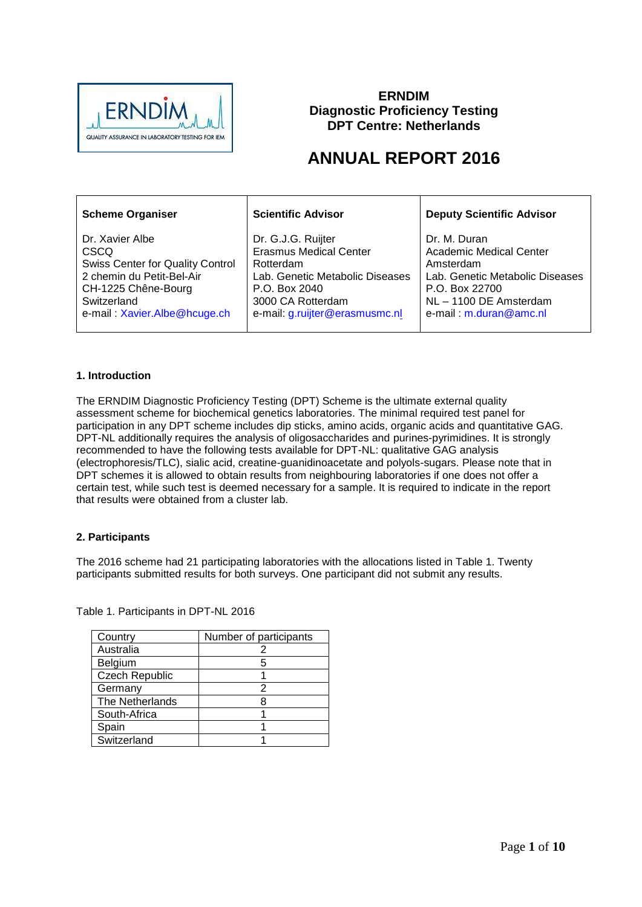

# **ERNDIM Diagnostic Proficiency Testing DPT Centre: Netherlands**

# **ANNUAL REPORT 2016**

| <b>Scheme Organiser</b>                 | <b>Scientific Advisor</b>       | <b>Deputy Scientific Advisor</b> |
|-----------------------------------------|---------------------------------|----------------------------------|
| Dr. Xavier Albe                         | Dr. G.J.G. Ruijter              | Dr. M. Duran                     |
| <b>CSCQ</b>                             | <b>Erasmus Medical Center</b>   | <b>Academic Medical Center</b>   |
| <b>Swiss Center for Quality Control</b> | Rotterdam                       | Amsterdam                        |
| 2 chemin du Petit-Bel-Air               | Lab. Genetic Metabolic Diseases | Lab. Genetic Metabolic Diseases  |
| CH-1225 Chêne-Bourg                     | P.O. Box 2040                   | P.O. Box 22700                   |
| Switzerland                             | 3000 CA Rotterdam               | NL-1100 DE Amsterdam             |
| e-mail: Xavier.Albe@hcuge.ch            | e-mail: g.ruijter@erasmusmc.nl  | e-mail: m.duran@amc.nl           |

# **1. Introduction**

The ERNDIM Diagnostic Proficiency Testing (DPT) Scheme is the ultimate external quality assessment scheme for biochemical genetics laboratories. The minimal required test panel for participation in any DPT scheme includes dip sticks, amino acids, organic acids and quantitative GAG. DPT-NL additionally requires the analysis of oligosaccharides and purines-pyrimidines. It is strongly recommended to have the following tests available for DPT-NL: qualitative GAG analysis (electrophoresis/TLC), sialic acid, creatine-guanidinoacetate and polyols-sugars. Please note that in DPT schemes it is allowed to obtain results from neighbouring laboratories if one does not offer a certain test, while such test is deemed necessary for a sample. It is required to indicate in the report that results were obtained from a cluster lab.

# **2. Participants**

The 2016 scheme had 21 participating laboratories with the allocations listed in Table 1. Twenty participants submitted results for both surveys. One participant did not submit any results.

Country Number of participants Australia **2** Belgium 5 Czech Republic | 1 Germany 2 The Netherlands 8 South-Africa 1 Spain 1 Switzerland 1

Table 1. Participants in DPT-NL 2016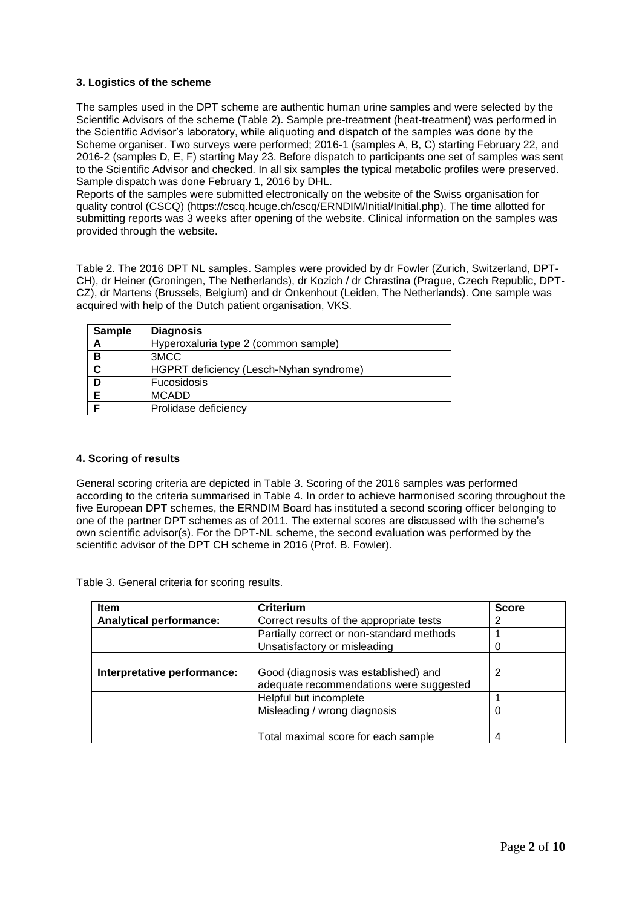# **3. Logistics of the scheme**

The samples used in the DPT scheme are authentic human urine samples and were selected by the Scientific Advisors of the scheme (Table 2). Sample pre-treatment (heat-treatment) was performed in the Scientific Advisor's laboratory, while aliquoting and dispatch of the samples was done by the Scheme organiser. Two surveys were performed; 2016-1 (samples A, B, C) starting February 22, and 2016-2 (samples D, E, F) starting May 23. Before dispatch to participants one set of samples was sent to the Scientific Advisor and checked. In all six samples the typical metabolic profiles were preserved. Sample dispatch was done February 1, 2016 by DHL.

Reports of the samples were submitted electronically on the website of the Swiss organisation for quality control (CSCQ) (https://cscq.hcuge.ch/cscq/ERNDIM/Initial/Initial.php). The time allotted for submitting reports was 3 weeks after opening of the website. Clinical information on the samples was provided through the website.

Table 2. The 2016 DPT NL samples. Samples were provided by dr Fowler (Zurich, Switzerland, DPT-CH), dr Heiner (Groningen, The Netherlands), dr Kozich / dr Chrastina (Prague, Czech Republic, DPT-CZ), dr Martens (Brussels, Belgium) and dr Onkenhout (Leiden, The Netherlands). One sample was acquired with help of the Dutch patient organisation, VKS.

| <b>Sample</b> | <b>Diagnosis</b>                        |
|---------------|-----------------------------------------|
| А             | Hyperoxaluria type 2 (common sample)    |
| в             | 3MCC                                    |
| $\mathbf c$   | HGPRT deficiency (Lesch-Nyhan syndrome) |
| D             | Fucosidosis                             |
|               | <b>MCADD</b>                            |
|               | Prolidase deficiency                    |

# **4. Scoring of results**

General scoring criteria are depicted in Table 3. Scoring of the 2016 samples was performed according to the criteria summarised in Table 4. In order to achieve harmonised scoring throughout the five European DPT schemes, the ERNDIM Board has instituted a second scoring officer belonging to one of the partner DPT schemes as of 2011. The external scores are discussed with the scheme's own scientific advisor(s). For the DPT-NL scheme, the second evaluation was performed by the scientific advisor of the DPT CH scheme in 2016 (Prof. B. Fowler).

Table 3. General criteria for scoring results.

| <b>Item</b>                    | <b>Criterium</b>                                                                | <b>Score</b> |
|--------------------------------|---------------------------------------------------------------------------------|--------------|
| <b>Analytical performance:</b> | Correct results of the appropriate tests                                        | 2            |
|                                | Partially correct or non-standard methods                                       |              |
|                                | Unsatisfactory or misleading                                                    |              |
|                                |                                                                                 |              |
| Interpretative performance:    | Good (diagnosis was established) and<br>adequate recommendations were suggested | 2            |
|                                | Helpful but incomplete                                                          |              |
|                                | Misleading / wrong diagnosis                                                    |              |
|                                |                                                                                 |              |
|                                | Total maximal score for each sample                                             |              |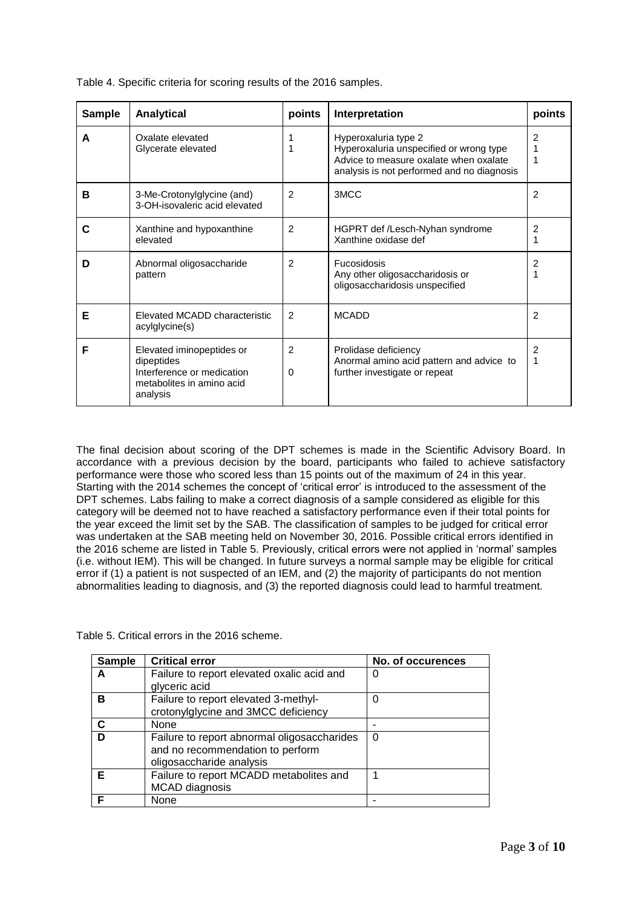| <b>Sample</b> | <b>Analytical</b>                                                                                              | points              | Interpretation                                                                                                                                          | points              |
|---------------|----------------------------------------------------------------------------------------------------------------|---------------------|---------------------------------------------------------------------------------------------------------------------------------------------------------|---------------------|
| A             | Oxalate elevated<br>Glycerate elevated                                                                         | 1<br>1              | Hyperoxaluria type 2<br>Hyperoxaluria unspecified or wrong type<br>Advice to measure oxalate when oxalate<br>analysis is not performed and no diagnosis | 2<br>1              |
| В             | 3-Me-Crotonylglycine (and)<br>3-OH-isovaleric acid elevated                                                    | $\overline{2}$      | 3MCC                                                                                                                                                    | 2                   |
| С             | Xanthine and hypoxanthine<br>elevated                                                                          | $\overline{2}$      | HGPRT def /Lesch-Nyhan syndrome<br>Xanthine oxidase def                                                                                                 | 2<br>1              |
| D             | Abnormal oligosaccharide<br>pattern                                                                            | $\overline{2}$      | <b>Fucosidosis</b><br>Any other oligosaccharidosis or<br>oligosaccharidosis unspecified                                                                 | $\overline{c}$      |
| Е             | Elevated MCADD characteristic<br>acylglycine(s)                                                                | $\mathcal{P}$       | <b>MCADD</b>                                                                                                                                            | $\mathcal{P}$       |
| F             | Elevated iminopeptides or<br>dipeptides<br>Interference or medication<br>metabolites in amino acid<br>analysis | $\mathfrak{p}$<br>0 | Prolidase deficiency<br>Anormal amino acid pattern and advice to<br>further investigate or repeat                                                       | $\mathfrak{p}$<br>1 |

Table 4. Specific criteria for scoring results of the 2016 samples.

The final decision about scoring of the DPT schemes is made in the Scientific Advisory Board. In accordance with a previous decision by the board, participants who failed to achieve satisfactory performance were those who scored less than 15 points out of the maximum of 24 in this year. Starting with the 2014 schemes the concept of 'critical error' is introduced to the assessment of the DPT schemes. Labs failing to make a correct diagnosis of a sample considered as eligible for this category will be deemed not to have reached a satisfactory performance even if their total points for the year exceed the limit set by the SAB. The classification of samples to be judged for critical error was undertaken at the SAB meeting held on November 30, 2016. Possible critical errors identified in the 2016 scheme are listed in Table 5. Previously, critical errors were not applied in 'normal' samples (i.e. without IEM). This will be changed. In future surveys a normal sample may be eligible for critical error if (1) a patient is not suspected of an IEM, and (2) the majority of participants do not mention abnormalities leading to diagnosis, and (3) the reported diagnosis could lead to harmful treatment.

Table 5. Critical errors in the 2016 scheme.

| <b>Sample</b> | <b>Critical error</b>                                                                                       | No. of occurences |
|---------------|-------------------------------------------------------------------------------------------------------------|-------------------|
| А             | Failure to report elevated oxalic acid and<br>glyceric acid                                                 | O                 |
| в             | Failure to report elevated 3-methyl-<br>crotonylglycine and 3MCC deficiency                                 | 0                 |
| C             | None                                                                                                        |                   |
| D             | Failure to report abnormal oligosaccharides<br>and no recommendation to perform<br>oligosaccharide analysis | 0                 |
| Е             | Failure to report MCADD metabolites and<br><b>MCAD</b> diagnosis                                            |                   |
|               | None                                                                                                        |                   |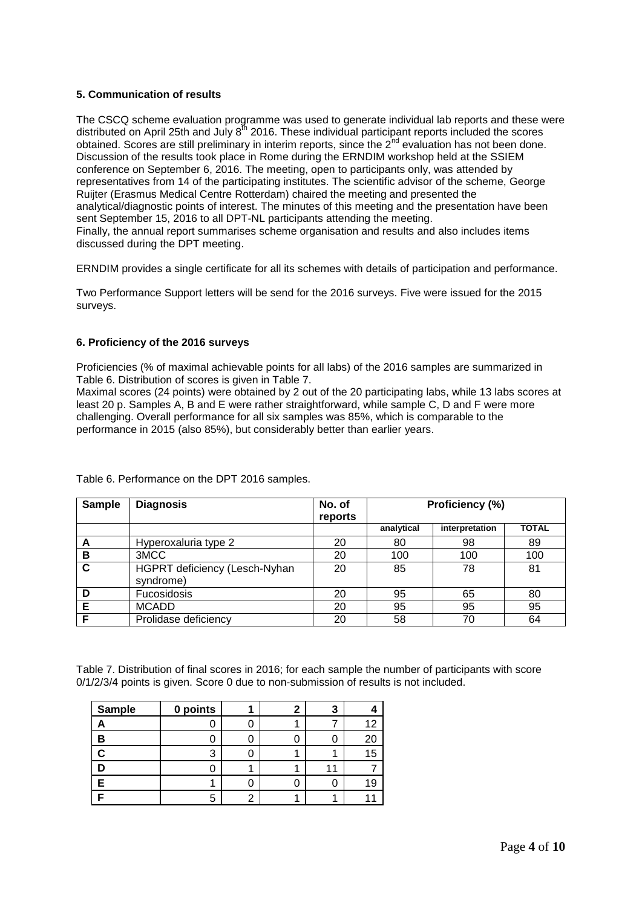# **5. Communication of results**

The CSCQ scheme evaluation programme was used to generate individual lab reports and these were distributed on April 25th and July  $8^{th}$  2016. These individual participant reports included the scores obtained. Scores are still preliminary in interim reports, since the 2<sup>nd</sup> evaluation has not been done. Discussion of the results took place in Rome during the ERNDIM workshop held at the SSIEM conference on September 6, 2016. The meeting, open to participants only, was attended by representatives from 14 of the participating institutes. The scientific advisor of the scheme, George Ruijter (Erasmus Medical Centre Rotterdam) chaired the meeting and presented the analytical/diagnostic points of interest. The minutes of this meeting and the presentation have been sent September 15, 2016 to all DPT-NL participants attending the meeting. Finally, the annual report summarises scheme organisation and results and also includes items discussed during the DPT meeting.

ERNDIM provides a single certificate for all its schemes with details of participation and performance.

Two Performance Support letters will be send for the 2016 surveys. Five were issued for the 2015 surveys.

# **6. Proficiency of the 2016 surveys**

Proficiencies (% of maximal achievable points for all labs) of the 2016 samples are summarized in Table 6. Distribution of scores is given in Table 7.

Maximal scores (24 points) were obtained by 2 out of the 20 participating labs, while 13 labs scores at least 20 p. Samples A, B and E were rather straightforward, while sample C, D and F were more challenging. Overall performance for all six samples was 85%, which is comparable to the performance in 2015 (also 85%), but considerably better than earlier years.

| <b>Sample</b> | <b>Diagnosis</b>                           | No. of<br>reports | Proficiency (%) |                |              |
|---------------|--------------------------------------------|-------------------|-----------------|----------------|--------------|
|               |                                            |                   | analytical      | interpretation | <b>TOTAL</b> |
| А             | Hyperoxaluria type 2                       | 20                | 80              | 98             | 89           |
| в             | 3MCC                                       | 20                | 100             | 100            | 100          |
| C             | HGPRT deficiency (Lesch-Nyhan<br>syndrome) | 20                | 85              | 78             | 81           |
| D             | Fucosidosis                                | 20                | 95              | 65             | 80           |
| Е             | <b>MCADD</b>                               | 20                | 95              | 95             | 95           |
| F             | Prolidase deficiency                       | 20                | 58              | 70             | 64           |

Table 6. Performance on the DPT 2016 samples.

Table 7. Distribution of final scores in 2016; for each sample the number of participants with score 0/1/2/3/4 points is given. Score 0 due to non-submission of results is not included.

| Sample | 0 points |  | 3 |    |
|--------|----------|--|---|----|
|        |          |  |   |    |
| В      |          |  |   |    |
|        | ົ        |  |   | 15 |
|        |          |  |   |    |
|        |          |  |   |    |
|        | 5        |  |   |    |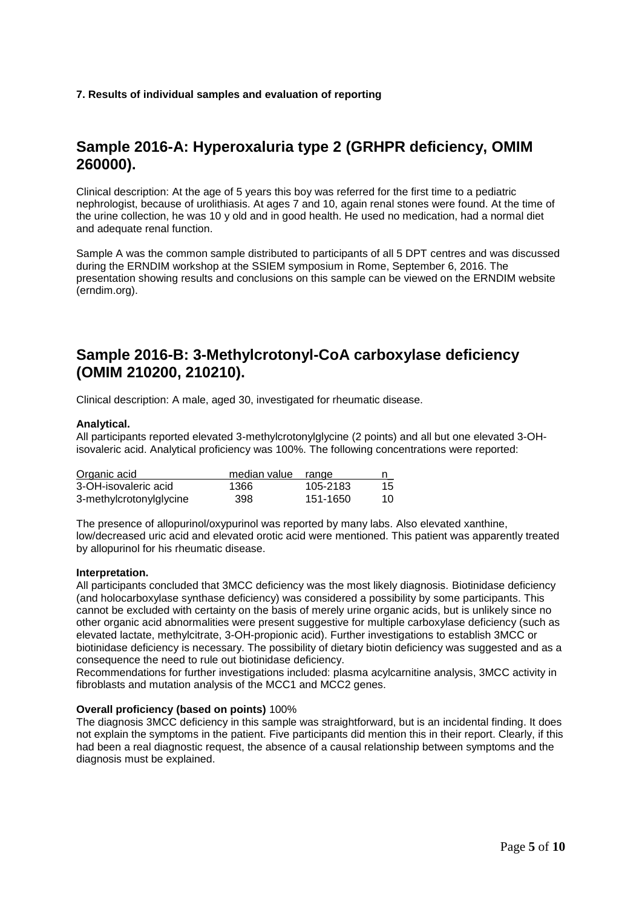# **7. Results of individual samples and evaluation of reporting**

# **Sample 2016-A: Hyperoxaluria type 2 (GRHPR deficiency, OMIM 260000).**

Clinical description: At the age of 5 years this boy was referred for the first time to a pediatric nephrologist, because of urolithiasis. At ages 7 and 10, again renal stones were found. At the time of the urine collection, he was 10 y old and in good health. He used no medication, had a normal diet and adequate renal function.

Sample A was the common sample distributed to participants of all 5 DPT centres and was discussed during the ERNDIM workshop at the SSIEM symposium in Rome, September 6, 2016. The presentation showing results and conclusions on this sample can be viewed on the ERNDIM website (erndim.org).

# **Sample 2016-B: 3-Methylcrotonyl-CoA carboxylase deficiency (OMIM 210200, 210210).**

Clinical description: A male, aged 30, investigated for rheumatic disease.

# **Analytical.**

All participants reported elevated 3-methylcrotonylglycine (2 points) and all but one elevated 3-OHisovaleric acid. Analytical proficiency was 100%. The following concentrations were reported:

| Organic acid            | median value | range    |     |
|-------------------------|--------------|----------|-----|
| 3-OH-isovaleric acid    | 1366         | 105-2183 | 15  |
| 3-methylcrotonylglycine | 398          | 151-1650 | 10. |

The presence of allopurinol/oxypurinol was reported by many labs. Also elevated xanthine, low/decreased uric acid and elevated orotic acid were mentioned. This patient was apparently treated by allopurinol for his rheumatic disease.

### **Interpretation.**

All participants concluded that 3MCC deficiency was the most likely diagnosis. Biotinidase deficiency (and holocarboxylase synthase deficiency) was considered a possibility by some participants. This cannot be excluded with certainty on the basis of merely urine organic acids, but is unlikely since no other organic acid abnormalities were present suggestive for multiple carboxylase deficiency (such as elevated lactate, methylcitrate, 3-OH-propionic acid). Further investigations to establish 3MCC or biotinidase deficiency is necessary. The possibility of dietary biotin deficiency was suggested and as a consequence the need to rule out biotinidase deficiency.

Recommendations for further investigations included: plasma acylcarnitine analysis, 3MCC activity in fibroblasts and mutation analysis of the MCC1 and MCC2 genes.

### **Overall proficiency (based on points)** 100%

The diagnosis 3MCC deficiency in this sample was straightforward, but is an incidental finding. It does not explain the symptoms in the patient. Five participants did mention this in their report. Clearly, if this had been a real diagnostic request, the absence of a causal relationship between symptoms and the diagnosis must be explained.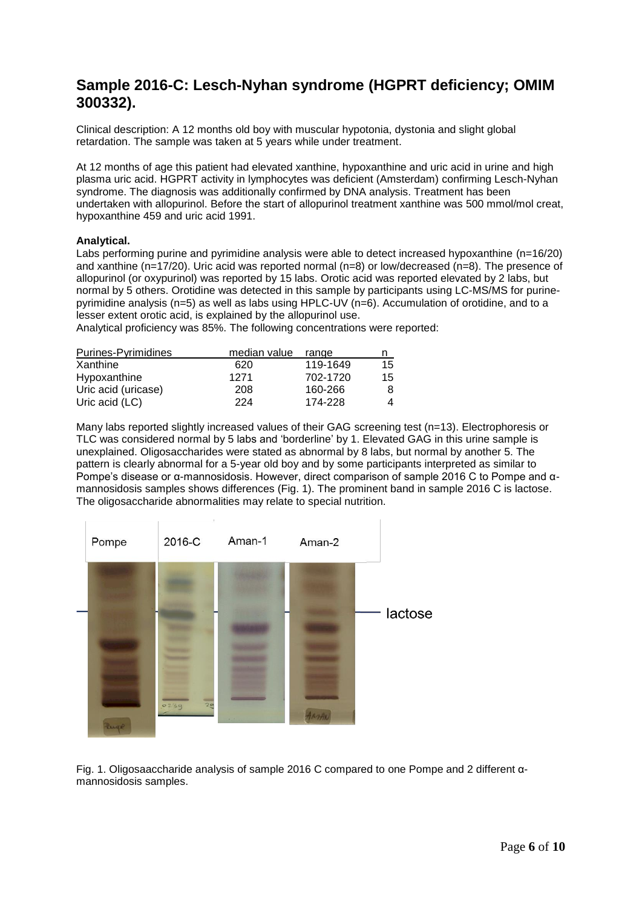# **Sample 2016-C: Lesch-Nyhan syndrome (HGPRT deficiency; OMIM 300332).**

Clinical description: A 12 months old boy with muscular hypotonia, dystonia and slight global retardation. The sample was taken at 5 years while under treatment.

At 12 months of age this patient had elevated xanthine, hypoxanthine and uric acid in urine and high plasma uric acid. HGPRT activity in lymphocytes was deficient (Amsterdam) confirming Lesch-Nyhan syndrome. The diagnosis was additionally confirmed by DNA analysis. Treatment has been undertaken with allopurinol. Before the start of allopurinol treatment xanthine was 500 mmol/mol creat, hypoxanthine 459 and uric acid 1991.

# **Analytical.**

Labs performing purine and pyrimidine analysis were able to detect increased hypoxanthine (n=16/20) and xanthine (n=17/20). Uric acid was reported normal (n=8) or low/decreased (n=8). The presence of allopurinol (or oxypurinol) was reported by 15 labs. Orotic acid was reported elevated by 2 labs, but normal by 5 others. Orotidine was detected in this sample by participants using LC-MS/MS for purinepyrimidine analysis (n=5) as well as labs using HPLC-UV (n=6). Accumulation of orotidine, and to a lesser extent orotic acid, is explained by the allopurinol use.

Analytical proficiency was 85%. The following concentrations were reported:

| Purines-Pyrimidines | median value | range    | n  |
|---------------------|--------------|----------|----|
| Xanthine            | 620          | 119-1649 | 15 |
| Hypoxanthine        | 1271         | 702-1720 | 15 |
| Uric acid (uricase) | 208          | 160-266  | 8  |
| Uric acid (LC)      | 224          | 174-228  | 4  |

Many labs reported slightly increased values of their GAG screening test (n=13). Electrophoresis or TLC was considered normal by 5 labs and 'borderline' by 1. Elevated GAG in this urine sample is unexplained. Oligosaccharides were stated as abnormal by 8 labs, but normal by another 5. The pattern is clearly abnormal for a 5-year old boy and by some participants interpreted as similar to Pompe's disease or α-mannosidosis. However, direct comparison of sample 2016 C to Pompe and αmannosidosis samples shows differences (Fig. 1). The prominent band in sample 2016 C is lactose. The oligosaccharide abnormalities may relate to special nutrition.



Fig. 1. Oligosaaccharide analysis of sample 2016 C compared to one Pompe and 2 different αmannosidosis samples.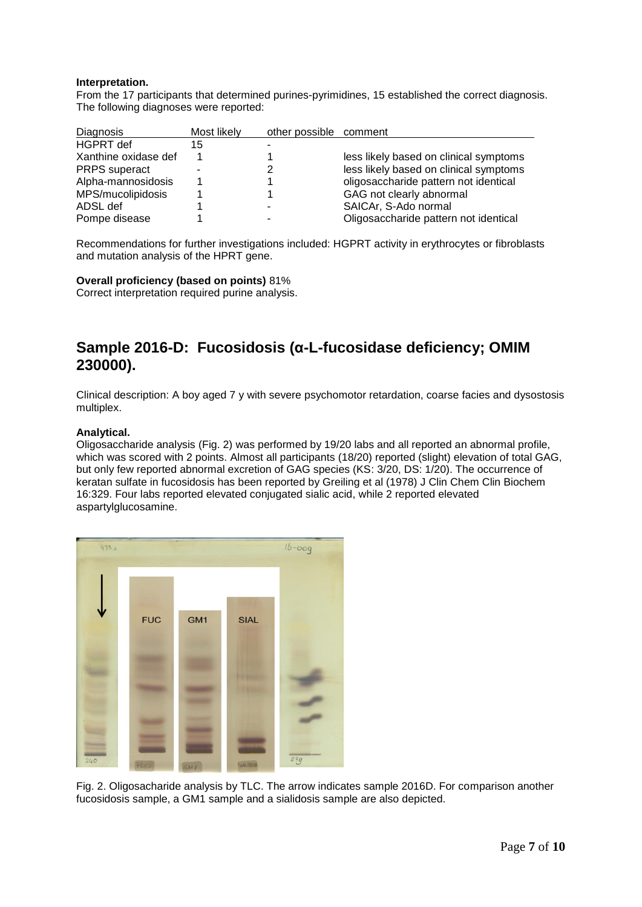# **Interpretation.**

From the 17 participants that determined purines-pyrimidines, 15 established the correct diagnosis. The following diagnoses were reported:

| <b>Diagnosis</b>     | Most likely | other possible comment |                                        |
|----------------------|-------------|------------------------|----------------------------------------|
| <b>HGPRT</b> def     | 15          |                        |                                        |
| Xanthine oxidase def |             |                        | less likely based on clinical symptoms |
| <b>PRPS</b> superact |             |                        | less likely based on clinical symptoms |
| Alpha-mannosidosis   |             |                        | oligosaccharide pattern not identical  |
| MPS/mucolipidosis    |             |                        | GAG not clearly abnormal               |
| ADSL def             |             |                        | SAICAr, S-Ado normal                   |
| Pompe disease        |             |                        | Oligosaccharide pattern not identical  |

Recommendations for further investigations included: HGPRT activity in erythrocytes or fibroblasts and mutation analysis of the HPRT gene.

**Overall proficiency (based on points)** 81%

Correct interpretation required purine analysis.

# **Sample 2016-D: Fucosidosis (α-L-fucosidase deficiency; OMIM 230000).**

Clinical description: A boy aged 7 y with severe psychomotor retardation, coarse facies and dysostosis multiplex.

# **Analytical.**

Oligosaccharide analysis (Fig. 2) was performed by 19/20 labs and all reported an abnormal profile, which was scored with 2 points. Almost all participants (18/20) reported (slight) elevation of total GAG, but only few reported abnormal excretion of GAG species (KS: 3/20, DS: 1/20). The occurrence of keratan sulfate in fucosidosis has been reported by Greiling et al (1978) J Clin Chem Clin Biochem 16:329. Four labs reported elevated conjugated sialic acid, while 2 reported elevated aspartylglucosamine.



Fig. 2. Oligosacharide analysis by TLC. The arrow indicates sample 2016D. For comparison another fucosidosis sample, a GM1 sample and a sialidosis sample are also depicted.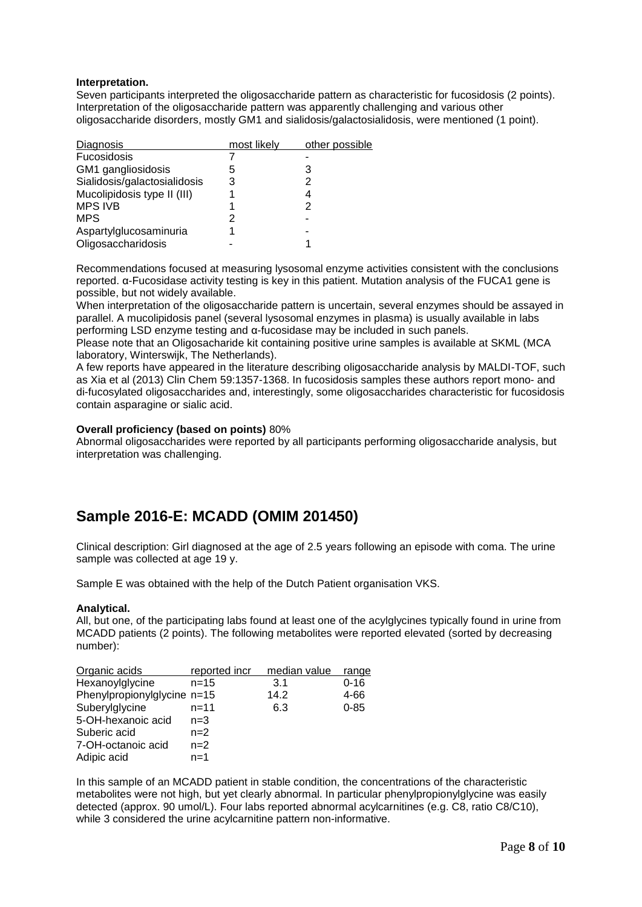# **Interpretation.**

Seven participants interpreted the oligosaccharide pattern as characteristic for fucosidosis (2 points). Interpretation of the oligosaccharide pattern was apparently challenging and various other oligosaccharide disorders, mostly GM1 and sialidosis/galactosialidosis, were mentioned (1 point).

| Diagnosis                    | most likely | other possible |
|------------------------------|-------------|----------------|
| Fucosidosis                  |             |                |
| GM1 gangliosidosis           | 5           | 3              |
| Sialidosis/galactosialidosis | 3           | 2              |
| Mucolipidosis type II (III)  |             | 4              |
| <b>MPS IVB</b>               |             | 2              |
| <b>MPS</b>                   |             |                |
| Aspartylglucosaminuria       |             |                |
| Oligosaccharidosis           |             |                |

Recommendations focused at measuring lysosomal enzyme activities consistent with the conclusions reported. α-Fucosidase activity testing is key in this patient. Mutation analysis of the FUCA1 gene is possible, but not widely available.

When interpretation of the oligosaccharide pattern is uncertain, several enzymes should be assayed in parallel. A mucolipidosis panel (several lysosomal enzymes in plasma) is usually available in labs performing LSD enzyme testing and α-fucosidase may be included in such panels.

Please note that an Oligosacharide kit containing positive urine samples is available at SKML (MCA laboratory, Winterswijk, The Netherlands).

A few reports have appeared in the literature describing oligosaccharide analysis by MALDI-TOF, such as Xia et al (2013) Clin Chem 59:1357-1368. In fucosidosis samples these authors report mono- and di-fucosylated oligosaccharides and, interestingly, some oligosaccharides characteristic for fucosidosis contain asparagine or sialic acid.

# **Overall proficiency (based on points)** 80%

Abnormal oligosaccharides were reported by all participants performing oligosaccharide analysis, but interpretation was challenging.

# **Sample 2016-E: MCADD (OMIM 201450)**

Clinical description: Girl diagnosed at the age of 2.5 years following an episode with coma. The urine sample was collected at age 19 y.

Sample E was obtained with the help of the Dutch Patient organisation VKS.

### **Analytical.**

All, but one, of the participating labs found at least one of the acylglycines typically found in urine from MCADD patients (2 points). The following metabolites were reported elevated (sorted by decreasing number):

| Organic acids               | reported incr | median value | range    |
|-----------------------------|---------------|--------------|----------|
| Hexanoylglycine             | $n = 15$      | 3.1          | $0 - 16$ |
| Phenylpropionylglycine n=15 |               | 14.2         | 4-66     |
| Suberylglycine              | n=11          | 6.3          | $0 - 85$ |
| 5-OH-hexanoic acid          | $n=3$         |              |          |
| Suberic acid                | $n=2$         |              |          |
| 7-OH-octanoic acid          | $n=2$         |              |          |
| Adipic acid                 | $n=1$         |              |          |

In this sample of an MCADD patient in stable condition, the concentrations of the characteristic metabolites were not high, but yet clearly abnormal. In particular phenylpropionylglycine was easily detected (approx. 90 umol/L). Four labs reported abnormal acylcarnitines (e.g. C8, ratio C8/C10), while 3 considered the urine acylcarnitine pattern non-informative.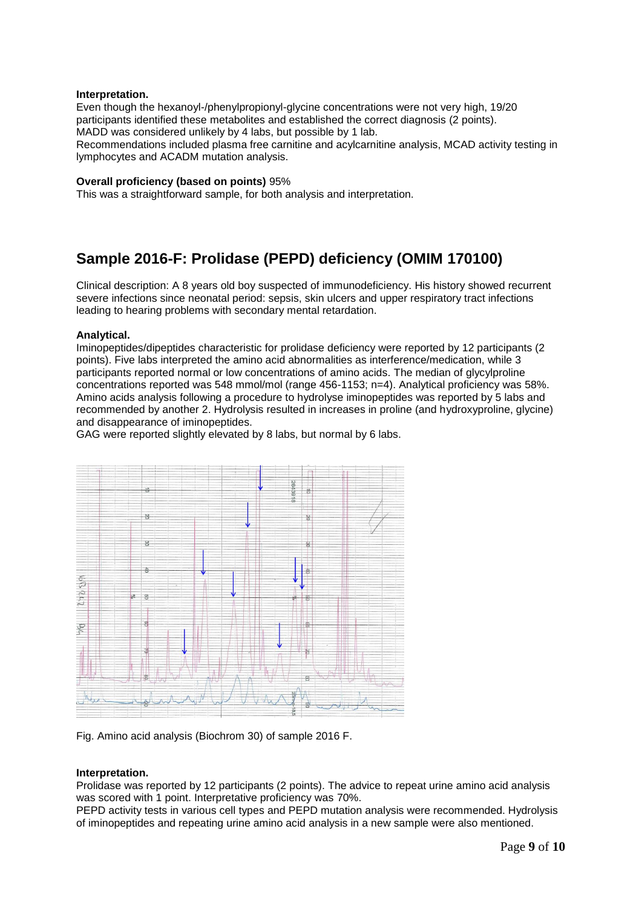### **Interpretation.**

Even though the hexanoyl-/phenylpropionyl-glycine concentrations were not very high, 19/20 participants identified these metabolites and established the correct diagnosis (2 points). MADD was considered unlikely by 4 labs, but possible by 1 lab.

Recommendations included plasma free carnitine and acylcarnitine analysis, MCAD activity testing in lymphocytes and ACADM mutation analysis.

### **Overall proficiency (based on points)** 95%

This was a straightforward sample, for both analysis and interpretation.

# **Sample 2016-F: Prolidase (PEPD) deficiency (OMIM 170100)**

Clinical description: A 8 years old boy suspected of immunodeficiency. His history showed recurrent severe infections since neonatal period: sepsis, skin ulcers and upper respiratory tract infections leading to hearing problems with secondary mental retardation.

### **Analytical.**

Iminopeptides/dipeptides characteristic for prolidase deficiency were reported by 12 participants (2 points). Five labs interpreted the amino acid abnormalities as interference/medication, while 3 participants reported normal or low concentrations of amino acids. The median of glycylproline concentrations reported was 548 mmol/mol (range 456-1153; n=4). Analytical proficiency was 58%. Amino acids analysis following a procedure to hydrolyse iminopeptides was reported by 5 labs and recommended by another 2. Hydrolysis resulted in increases in proline (and hydroxyproline, glycine) and disappearance of iminopeptides.

GAG were reported slightly elevated by 8 labs, but normal by 6 labs.



Fig. Amino acid analysis (Biochrom 30) of sample 2016 F.

### **Interpretation.**

Prolidase was reported by 12 participants (2 points). The advice to repeat urine amino acid analysis was scored with 1 point. Interpretative proficiency was 70%.

PEPD activity tests in various cell types and PEPD mutation analysis were recommended. Hydrolysis of iminopeptides and repeating urine amino acid analysis in a new sample were also mentioned.